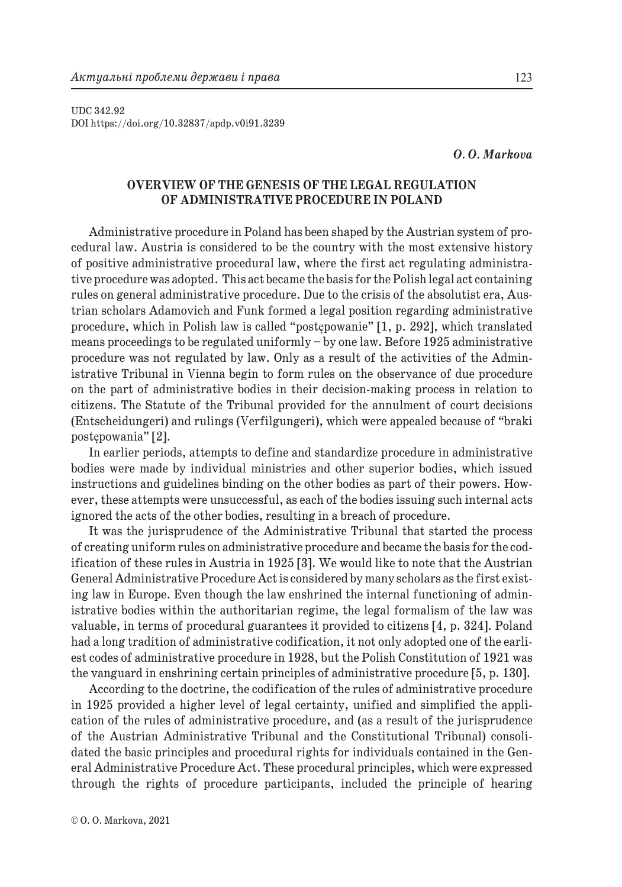UDC 342.92 DOI https://doi.org/10.32837/apdp.v0i91.3239

## *O. O. Markova*

# **OVERVIEW OF THE GENESIS OF THE LEGAL REGULATION OF ADMINISTRATIVE PROCEDURE IN POLAND**

Administrative procedure in Poland has been shaped by the Austrian system of procedural law. Austria is considered to be the country with the most extensive history of positive administrative procedural law, where the first act regulating administrative procedure was adopted. This act became the basis for the Polish legal act containing rules on general administrative procedure. Due to the crisis of the absolutist era, Austrian scholars Adamovich and Funk formed a legal position regarding administrative procedure, which in Polish law is called "postępowanie" [1, p. 292], which translated means proceedings to be regulated uniformly – by one law. Before 1925 administrative procedure was not regulated by law. Only as a result of the activities of the Administrative Tribunal in Vienna begin to form rules on the observance of due procedure on the part of administrative bodies in their decision-making process in relation to citizens. The Statute of the Tribunal provided for the annulment of court decisions (Entscheidungeri) and rulings (Verfilgungeri), which were appealed because of "braki postępowania" [2].

In earlier periods, attempts to define and standardize procedure in administrative bodies were made by individual ministries and other superior bodies, which issued instructions and guidelines binding on the other bodies as part of their powers. However, these attempts were unsuccessful, as each of the bodies issuing such internal acts ignored the acts of the other bodies, resulting in a breach of procedure.

It was the jurisprudence of the Administrative Tribunal that started the process of creating uniform rules on administrative procedure and became the basis for the codification of these rules in Austria in 1925 [3]. We would like to note that the Austrian General Administrative Procedure Act is considered by many scholars as the first existing law in Europe. Even though the law enshrined the internal functioning of administrative bodies within the authoritarian regime, the legal formalism of the law was valuable, in terms of procedural guarantees it provided to citizens [4, p. 324]. Poland had a long tradition of administrative codification, it not only adopted one of the earliest codes of administrative procedure in 1928, but the Polish Constitution of 1921 was the vanguard in enshrining certain principles of administrative procedure [5, p. 130].

According to the doctrine, the codification of the rules of administrative procedure in 1925 provided a higher level of legal certainty, unified and simplified the application of the rules of administrative procedure, and (as a result of the jurisprudence of the Austrian Administrative Tribunal and the Constitutional Tribunal) consolidated the basic principles and procedural rights for individuals contained in the General Administrative Procedure Act. These procedural principles, which were expressed through the rights of procedure participants, included the principle of hearing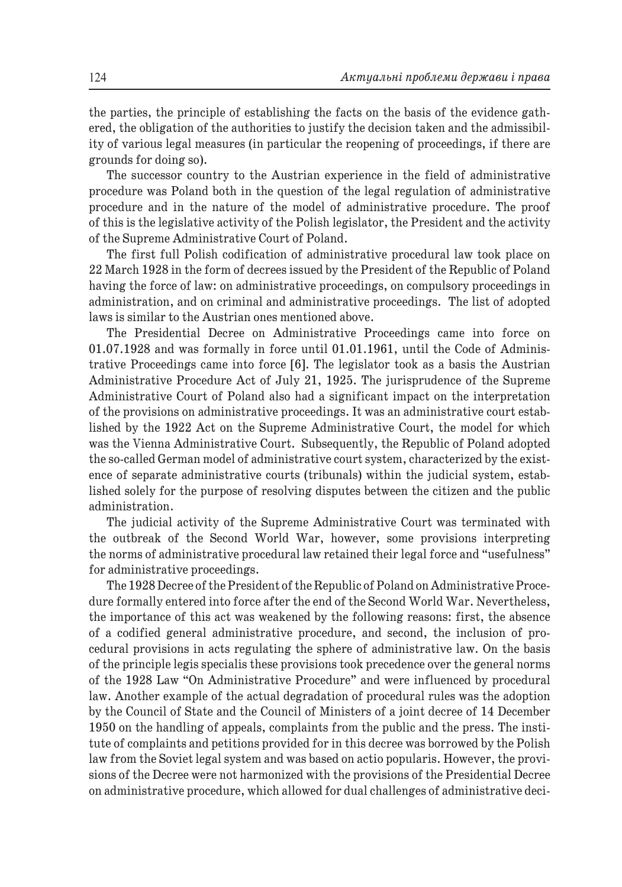the parties, the principle of establishing the facts on the basis of the evidence gathered, the obligation of the authorities to justify the decision taken and the admissibility of various legal measures (in particular the reopening of proceedings, if there are grounds for doing so).

The successor country to the Austrian experience in the field of administrative procedure was Poland both in the question of the legal regulation of administrative procedure and in the nature of the model of administrative procedure. The proof of this is the legislative activity of the Polish legislator, the President and the activity of the Supreme Administrative Court of Poland.

The first full Polish codification of administrative procedural law took place on 22 March 1928 in the form of decrees issued by the President of the Republic of Poland having the force of law: on administrative proceedings, on compulsory proceedings in administration, and on criminal and administrative proceedings. The list of adopted laws is similar to the Austrian ones mentioned above.

The Presidential Decree on Administrative Proceedings came into force on 01.07.1928 and was formally in force until 01.01.1961, until the Code of Administrative Proceedings came into force [6]. The legislator took as a basis the Austrian Administrative Procedure Act of July 21, 1925. The jurisprudence of the Supreme Administrative Court of Poland also had a significant impact on the interpretation of the provisions on administrative proceedings. It was an administrative court established by the 1922 Act on the Supreme Administrative Court, the model for which was the Vienna Administrative Court. Subsequently, the Republic of Poland adopted the so-called German model of administrative court system, characterized by the existence of separate administrative courts (tribunals) within the judicial system, established solely for the purpose of resolving disputes between the citizen and the public administration.

The judicial activity of the Supreme Administrative Court was terminated with the outbreak of the Second World War, however, some provisions interpreting the norms of administrative procedural law retained their legal force and "usefulness" for administrative proceedings.

The 1928 Decree of the President of the Republic of Poland on Administrative Procedure formally entered into force after the end of the Second World War. Nevertheless, the importance of this act was weakened by the following reasons: first, the absence of a codified general administrative procedure, and second, the inclusion of procedural provisions in acts regulating the sphere of administrative law. On the basis of the principle legis specialis these provisions took precedence over the general norms of the 1928 Law "On Administrative Procedure" and were influenced by procedural law. Another example of the actual degradation of procedural rules was the adoption by the Council of State and the Council of Ministers of a joint decree of 14 December 1950 on the handling of appeals, complaints from the public and the press. The institute of complaints and petitions provided for in this decree was borrowed by the Polish law from the Soviet legal system and was based on actio popularis. However, the provisions of the Decree were not harmonized with the provisions of the Presidential Decree on administrative procedure, which allowed for dual challenges of administrative deci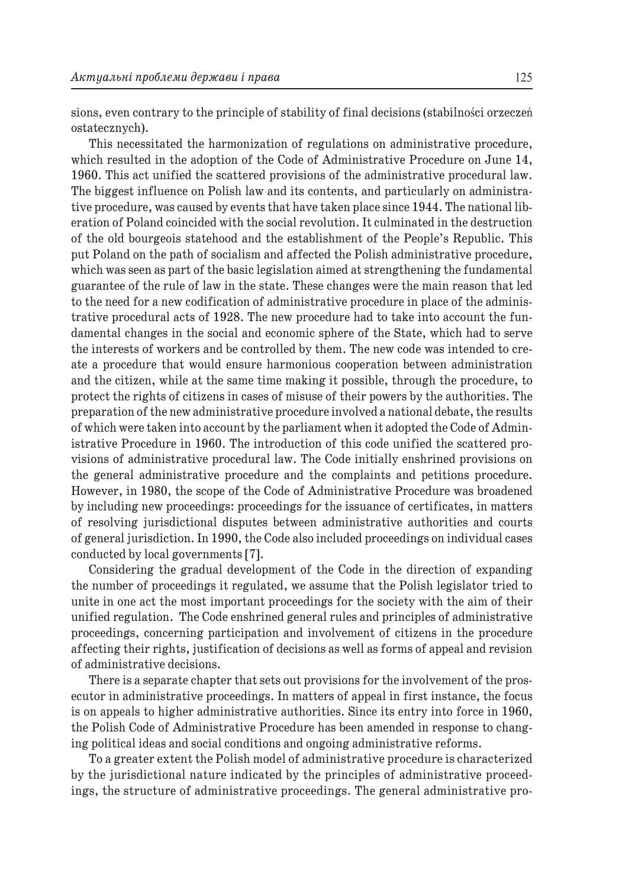sions, even contrary to the principle of stability of final decisions (stabilności orzeczeń ostatecznych).

This necessitated the harmonization of regulations on administrative procedure, which resulted in the adoption of the Code of Administrative Procedure on June 14, 1960. This act unified the scattered provisions of the administrative procedural law. The biggest influence on Polish law and its contents, and particularly on administrative procedure, was caused by events that have taken place since 1944. The national liberation of Poland coincided with the social revolution. It culminated in the destruction of the old bourgeois statehood and the establishment of the People's Republic. This put Poland on the path of socialism and affected the Polish administrative procedure, which was seen as part of the basic legislation aimed at strengthening the fundamental guarantee of the rule of law in the state. These changes were the main reason that led to the need for a new codification of administrative procedure in place of the administrative procedural acts of 1928. The new procedure had to take into account the fundamental changes in the social and economic sphere of the State, which had to serve the interests of workers and be controlled by them. The new code was intended to create a procedure that would ensure harmonious cooperation between administration and the citizen, while at the same time making it possible, through the procedure, to protect the rights of citizens in cases of misuse of their powers by the authorities. The preparation of the new administrative procedure involved a national debate, the results of which were taken into account by the parliament when it adopted the Code of Administrative Procedure in 1960. The introduction of this code unified the scattered provisions of administrative procedural law. The Code initially enshrined provisions on the general administrative procedure and the complaints and petitions procedure. However, in 1980, the scope of the Code of Administrative Procedure was broadened by including new proceedings: proceedings for the issuance of certificates, in matters of resolving jurisdictional disputes between administrative authorities and courts of general jurisdiction. In 1990, the Code also included proceedings on individual cases conducted by local governments [7].

Considering the gradual development of the Code in the direction of expanding the number of proceedings it regulated, we assume that the Polish legislator tried to unite in one act the most important proceedings for the society with the aim of their unified regulation. The Code enshrined general rules and principles of administrative proceedings, concerning participation and involvement of citizens in the procedure affecting their rights, justification of decisions as well as forms of appeal and revision of administrative decisions.

There is a separate chapter that sets out provisions for the involvement of the prosecutor in administrative proceedings. In matters of appeal in first instance, the focus is on appeals to higher administrative authorities. Since its entry into force in 1960, the Polish Code of Administrative Procedure has been amended in response to changing political ideas and social conditions and ongoing administrative reforms.

To a greater extent the Polish model of administrative procedure is characterized by the jurisdictional nature indicated by the principles of administrative proceedings, the structure of administrative proceedings. The general administrative pro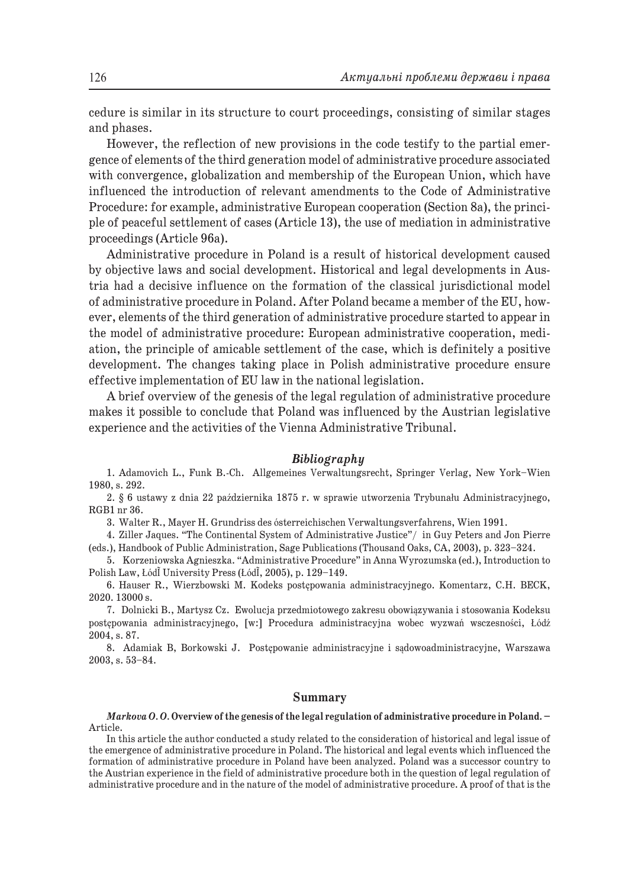cedure is similar in its structure to court proceedings, consisting of similar stages and phases.

However, the reflection of new provisions in the code testify to the partial emergence of elements of the third generation model of administrative procedure associated with convergence, globalization and membership of the European Union, which have influenced the introduction of relevant amendments to the Code of Administrative Procedure: for example, administrative European cooperation (Section 8a), the principle of peaceful settlement of cases (Article 13), the use of mediation in administrative proceedings (Article 96a).

Administrative procedure in Poland is a result of historical development caused by objective laws and social development. Historical and legal developments in Austria had a decisive influence on the formation of the classical jurisdictional model of administrative procedure in Poland. After Poland became a member of the EU, however, elements of the third generation of administrative procedure started to appear in the model of administrative procedure: European administrative cooperation, mediation, the principle of amicable settlement of the case, which is definitely a positive development. The changes taking place in Polish administrative procedure ensure effective implementation of EU law in the national legislation.

A brief overview of the genesis of the legal regulation of administrative procedure makes it possible to conclude that Poland was influenced by the Austrian legislative experience and the activities of the Vienna Administrative Tribunal.

#### *Bibliography*

1. Adamovich L., Funk B.-Ch. Allgemeines Verwaltungsrecht, Springer Verlag, New York–Wien 1980, s. 292.

2. § 6 ustawy z dnia 22 października 1875 r. w sprawie utworzenia Trybunału Administracyjnego, RGB1 nr 36.

3. Walter R., Mayer H. Grundriss des ósterreichischen Verwaltungsverfahrens, Wien 1991.

4. Ziller Jaques. "The Continental System of Administrative Justice"/ in Guy Peters and Jon Pierre (eds.), Handbook of Public Administration, Sage Publications (Thousand Oaks, CA, 2003), p. 323–324.

5. Korzeniowska Agnieszka. "Administrative Procedure" in Anna Wyrozumska (ed.), Introduction to Polish Law, ŁódĨ University Press (ŁódĨ, 2005), p. 129–149.

6. Hauser R., Wierzbowski M. Kodeks postępowania administracyjnego. Komentarz, C.H. BECK, 2020. 13000 s.

7. Dolnicki B., Martysz Cz. Ewolucja przedmiotowego zakresu obowiązywania i stosowania Kodeksu postępowania administracyjnego, [w:] Procedura administracyjna wobec wyzwań wsczesności, Łódź 2004, s. 87.

8. Adamiak B, Borkowski J. Postępowanie administracyjne i sądowoadministracyjne, Warszawa 2003, s. 53–84.

### **Summary**

*Markova O. O.* **Overview of the genesis of the legal regulation of administrative procedure in Poland. –**  Article.

In this article the author conducted a study related to the consideration of historical and legal issue of the emergence of administrative procedure in Poland. The historical and legal events which influenced the formation of administrative procedure in Poland have been analyzed. Poland was a successor country to the Austrian experience in the field of administrative procedure both in the question of legal regulation of administrative procedure and in the nature of the model of administrative procedure. A proof of that is the